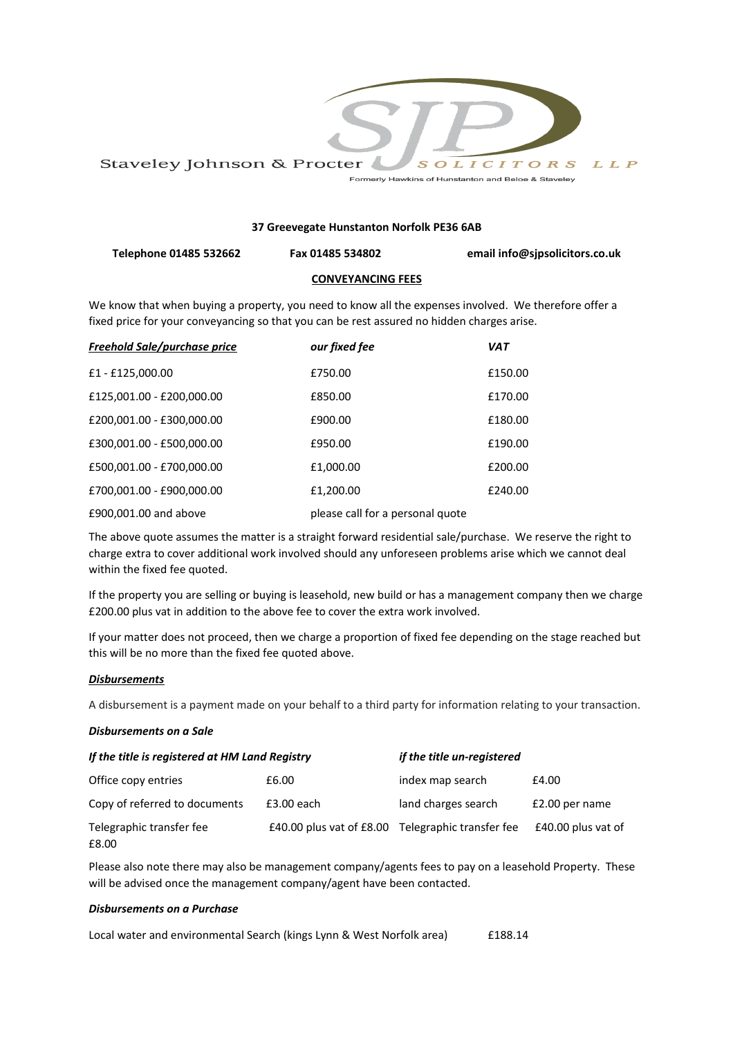

# **37 Greevegate Hunstanton Norfolk PE36 6AB**

**Telephone 01485 532662 Fax 01485 534802 email info@sjpsolicitors.co.uk**

## **CONVEYANCING FEES**

We know that when buying a property, you need to know all the expenses involved. We therefore offer a fixed price for your conveyancing so that you can be rest assured no hidden charges arise.

| <b>Freehold Sale/purchase price</b> | our fixed fee                    | <b>VAT</b> |
|-------------------------------------|----------------------------------|------------|
| £1 - £125,000.00                    | £750.00                          | £150.00    |
| £125,001.00 - £200,000.00           | £850.00                          | £170.00    |
| £200,001.00 - £300,000.00           | £900.00                          | £180.00    |
| £300,001.00 - £500,000.00           | £950.00                          | £190.00    |
| £500,001.00 - £700,000.00           | £1,000.00                        | £200.00    |
| £700,001.00 - £900,000.00           | £1,200.00                        | £240.00    |
| £900,001.00 and above               | please call for a personal quote |            |

The above quote assumes the matter is a straight forward residential sale/purchase. We reserve the right to charge extra to cover additional work involved should any unforeseen problems arise which we cannot deal within the fixed fee quoted.

If the property you are selling or buying is leasehold, new build or has a management company then we charge £200.00 plus vat in addition to the above fee to cover the extra work involved.

If your matter does not proceed, then we charge a proportion of fixed fee depending on the stage reached but this will be no more than the fixed fee quoted above.

#### *Disbursements*

A disbursement is a payment made on your behalf to a third party for information relating to your transaction.

#### *Disbursements on a Sale*

| If the title is registered at HM Land Registry |                            | if the title un-registered |                    |
|------------------------------------------------|----------------------------|----------------------------|--------------------|
| Office copy entries                            | £6.00                      | index map search           | £4.00              |
| Copy of referred to documents                  | $£3.00$ each               | land charges search        | £2.00 per name     |
| Telegraphic transfer fee<br>£8.00              | £40.00 plus vat of $£8.00$ | Telegraphic transfer fee   | £40.00 plus vat of |

Please also note there may also be management company/agents fees to pay on a leasehold Property. These will be advised once the management company/agent have been contacted.

## *Disbursements on a Purchase*

Local water and environmental Search (kings Lynn & West Norfolk area) £188.14